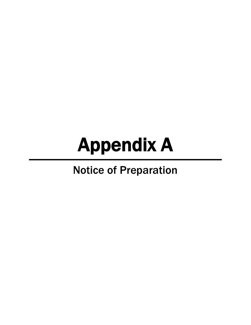## Appendix A

## Notice of Preparation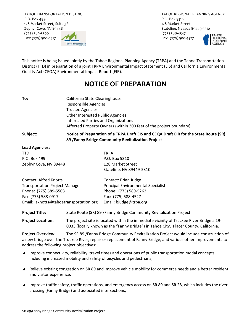TAHOE TRANSPORTATION DISTRICT P.O. Box 499 128 Market Street, Suite 3F Zephyr Cove, NV 89448 (775) 589‐5500 Fax: (775) 588‐0917



TAHOE REGIONAL PLANNING AGENCY P.O. Box 5310 128 Market Street Stateline, Nevada 89449‐5310 (775) 588‐4547 Fax: (775) 588‐4527



This notice is being issued jointly by the Tahoe Regional Planning Agency (TRPA) and the Tahoe Transportation District (TTD) in preparation of a joint TRPA Environmental Impact Statement (EIS) and California Environmental Quality Act (CEQA) Environmental Impact Report (EIR).

## **NOTICE OF PREPARATION**

| To: | California State Clearinghouse                                     |
|-----|--------------------------------------------------------------------|
|     | Responsible Agencies                                               |
|     | <b>Trustee Agencies</b>                                            |
|     | Other Interested Public Agencies                                   |
|     | Interested Parties and Organizations                               |
|     | Affected Property Owners (within 300 feet of the project boundary) |
|     |                                                                    |

## Subject: Notice of Preparation of a TRPA Draft EIS and CEQA Draft EIR for the State Route (SR) **89 /Fanny Bridge Community Revitalization Project**

| <b>Lead Agencies:</b>                  |                                    |
|----------------------------------------|------------------------------------|
| <b>TTD</b>                             | <b>TRPA</b>                        |
| P.O. Box 499                           | P.O. Box 5310                      |
| Zephyr Cove, NV 89448                  | 128 Market Street                  |
|                                        | Stateline, NV 89449-5310           |
| <b>Contact: Alfred Knotts</b>          | Contact: Brian Judge               |
| <b>Transportation Project Manager</b>  | Principal Environmental Specialist |
| Phone: (775) 589-5503                  | Phone: (775) 589-5262              |
| Fax: (775) 588-0917                    | Fax: (775) 588-4527                |
| Email: aknotts@tahoetransportation.org | Email: bjudge@trpa.org             |

**Project Title:** State Route (SR) 89 /Fanny Bridge Community Revitalization Project

**Project Location:** The project site is located within the immediate vicinity of Truckee River Bridge # 19‐ 0033 (locally known as the "Fanny Bridge") in Tahoe City, Placer County, California.

**Project Overview:** The SR 89 /Fanny Bridge Community Revitalization Project would include construction of a new bridge over the Truckee River, repair or replacement of Fanny Bridge, and various other improvements to address the following project objectives:

- Improve connectivity, reliability, travel times and operations of public transportation modal concepts, including increased mobility and safety of bicycles and pedestrians;
- Relieve existing congestion on SR 89 and improve vehicle mobility for commerce needs and a better resident and visitor experience;
- Improve traffic safety, traffic operations, and emergency access on SR 89 and SR 28, which includes the river crossing (Fanny Bridge) and associated intersections;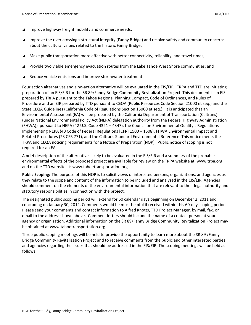- Improve highway freight mobility and commerce needs;
- Improve the river crossing's structural integrity (Fanny Bridge) and resolve safety and community concerns about the cultural values related to the historic Fanny Bridge;
- Make public transportation more effective with better connectivity, reliability, and travel times;
- Provide two viable emergency evacuation routes from the Lake Tahoe West Shore communities; and
- Reduce vehicle emissions and improve stormwater treatment.

Four action alternatives and a no‐action alternative will be evaluated in the EIS/EIR. TRPA and TTD are initiating preparation of an EIS/EIR for the SR 89/Fanny Bridge Community Revitalization Project. This document is an EIS prepared by TRPA pursuant to the Tahoe Regional Planning Compact, Code of Ordinances, and Rules of Procedure and an EIR prepared by TTD pursuant to CEQA (Public Resources Code Section 21000 et seq.) and the State CEQA Guidelines (California Code of Regulations Section 15000 et seq.). It is anticipated that an Environmental Assessment (EA) will be prepared by the California Department of Transportation (Caltrans) (under National Environmental Policy Act (NEPA) delegation authority from the Federal Highway Administration (FHWA)) pursuant to NEPA (42 U.S. Code 4321 – 4347), the Council on Environmental Quality's Regulations Implementing NEPA (40 Code of Federal Regulations [CFR] 1500 – 1508), FHWA Environmental Impact and Related Procedures (23 CFR 771), and the Caltrans Standard Environmental Reference. This notice meets the TRPA and CEQA noticing requirements for a Notice of Preparation (NOP). Public notice of scoping is not required for an EA.

A brief description of the alternatives likely to be evaluated in the EIS/EIR and a summary of the probable environmental effects of the proposed project are available for review on the TRPA website at: www.trpa.org, and on the TTD website at: www.tahoetransportation.org.

**Public Scoping:** The purpose of this NOP is to solicit views of interested persons, organizations, and agencies as they relate to the scope and content of the information to be included and analyzed in the EIS/EIR. Agencies should comment on the elements of the environmental information that are relevant to their legal authority and statutory responsibilities in connection with the project.

The designated public scoping period will extend for 60 calendar days beginning on December 2, 2011 and concluding on January 30, 2012. Comments would be most helpful if received within this 60‐day scoping period. Please send your comments and contact information to Alfred Knotts, TTD Project Manager, by mail, fax, or email to the address shown above. Comment letters should include the name of a contact person at your agency or organization. Additional information on the SR 89/Fanny Bridge Community Revitalization Project may be obtained at www.tahoetransportation.org.

Three public scoping meetings will be held to provide the opportunity to learn more about the SR 89 /Fanny Bridge Community Revitalization Project and to receive comments from the public and other interested parties and agencies regarding the issues that should be addressed in the EIS/EIR. The scoping meetings will be held as follows: